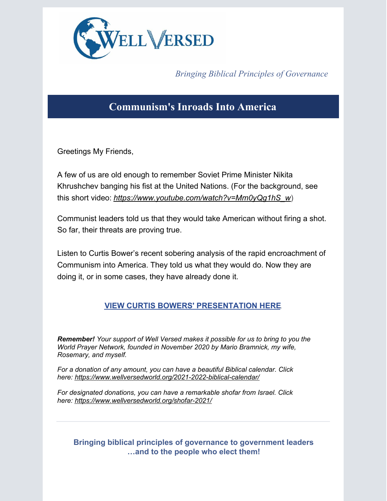

*Bringing Biblical Principles of Governance*

## **Communism's Inroads Into America**

Greetings My Friends,

A few of us are old enough to remember Soviet Prime Minister Nikita Khrushchev banging his fist at the United Nations. (For the background, see this short video: *[https://www.youtube.com/watch?v=Mm0yQg1hS\\_w](https://www.youtube.com/watch?v=Mm0yQg1hS_w)*)

Communist leaders told us that they would take American without firing a shot. So far, their threats are proving true.

Listen to Curtis Bower's recent sobering analysis of the rapid encroachment of Communism into America. They told us what they would do. Now they are doing it, or in some cases, they have already done it.

## **VIEW CURTIS BOWERS' [PRESENTATION](https://worldprayernetwork.org/prayer/wpn-prayer-call-76/) HERE**.

*Remember! Your support of Well Versed makes it possible for us to bring to you the World Prayer Network, founded in November 2020 by Mario Bramnick, my wife, Rosemary, and myself.*

*For a donation of any amount, you can have a beautiful Biblical calendar. Click here: <https://www.wellversedworld.org/2021-2022-biblical-calendar/>*

*For designated donations, you can have a remarkable shofar from Israel. Click here: <https://www.wellversedworld.org/shofar-2021/>*

## **Bringing biblical principles of governance to government leaders …and to the people who elect them!**